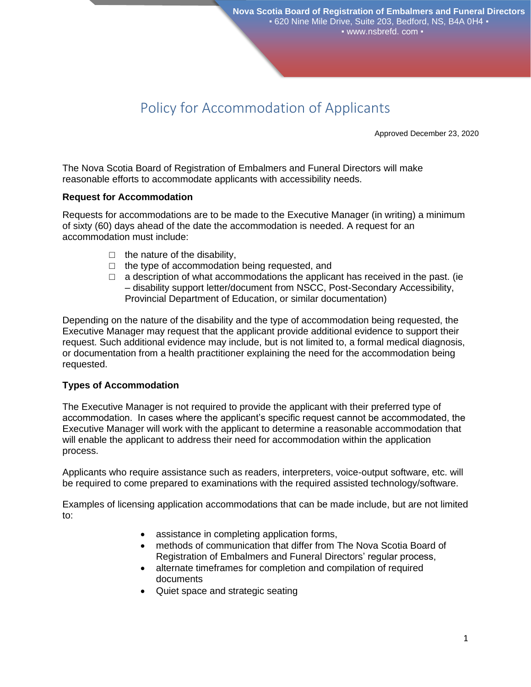## Policy for Accommodation of Applicants

Approved December 23, 2020

The Nova Scotia Board of Registration of Embalmers and Funeral Directors will make reasonable efforts to accommodate applicants with accessibility needs.

## **Request for Accommodation**

Requests for accommodations are to be made to the Executive Manager (in writing) a minimum of sixty (60) days ahead of the date the accommodation is needed. A request for an accommodation must include:

- $\Box$  the nature of the disability,
- □ the type of accommodation being requested, and
- $\Box$  a description of what accommodations the applicant has received in the past. (ie – disability support letter/document from NSCC, Post-Secondary Accessibility, Provincial Department of Education, or similar documentation)

Depending on the nature of the disability and the type of accommodation being requested, the Executive Manager may request that the applicant provide additional evidence to support their request. Such additional evidence may include, but is not limited to, a formal medical diagnosis, or documentation from a health practitioner explaining the need for the accommodation being requested.

## **Types of Accommodation**

The Executive Manager is not required to provide the applicant with their preferred type of accommodation. In cases where the applicant's specific request cannot be accommodated, the Executive Manager will work with the applicant to determine a reasonable accommodation that will enable the applicant to address their need for accommodation within the application process.

Applicants who require assistance such as readers, interpreters, voice-output software, etc. will be required to come prepared to examinations with the required assisted technology/software.

Examples of licensing application accommodations that can be made include, but are not limited to:

- assistance in completing application forms,
- methods of communication that differ from The Nova Scotia Board of Registration of Embalmers and Funeral Directors' regular process,
- alternate timeframes for completion and compilation of required documents
- Quiet space and strategic seating